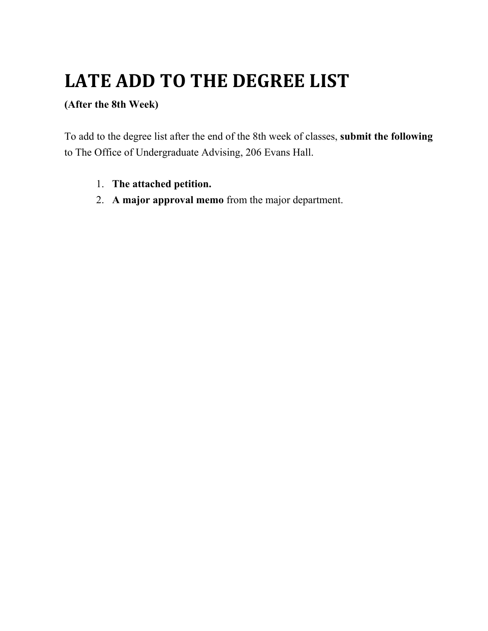## **LATE ADD TO THE DEGREE LIST**

## **(After the 8th Week)**

To add to the degree list after the end of the 8th week of classes, **submit the following** to The Office of Undergraduate Advising, 206 Evans Hall.

- 1. **The attached petition.**
- 2. **A major approval memo** from the major department.